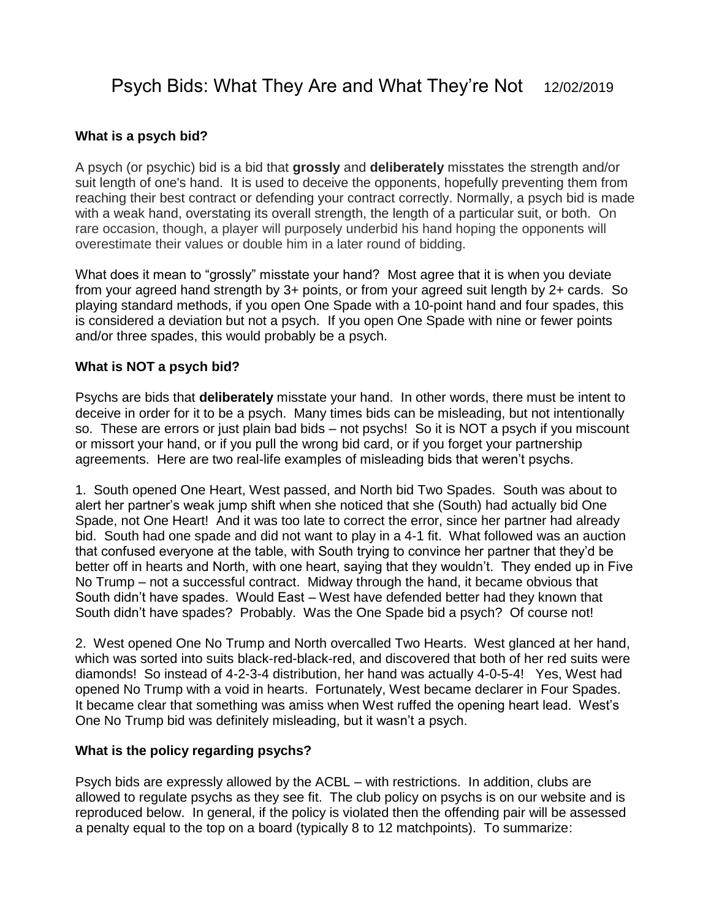# Psych Bids: What They Are and What They're Not 12/02/2019

#### **What is a psych bid?**

A psych (or psychic) bid is a bid that **grossly** and **deliberately** misstates the strength and/or suit length of one's hand. It is used to deceive the opponents, hopefully preventing them from reaching their best contract or defending your contract correctly. Normally, a psych bid is made with a weak hand, overstating its overall strength, the length of a particular suit, or both. On rare occasion, though, a player will purposely underbid his hand hoping the opponents will overestimate their values or double him in a later round of bidding.

What does it mean to "grossly" misstate your hand? Most agree that it is when you deviate from your agreed hand strength by 3+ points, or from your agreed suit length by 2+ cards. So playing standard methods, if you open One Spade with a 10-point hand and four spades, this is considered a deviation but not a psych. If you open One Spade with nine or fewer points and/or three spades, this would probably be a psych.

#### **What is NOT a psych bid?**

Psychs are bids that **deliberately** misstate your hand. In other words, there must be intent to deceive in order for it to be a psych. Many times bids can be misleading, but not intentionally so. These are errors or just plain bad bids – not psychs! So it is NOT a psych if you miscount or missort your hand, or if you pull the wrong bid card, or if you forget your partnership agreements. Here are two real-life examples of misleading bids that weren't psychs.

1. South opened One Heart, West passed, and North bid Two Spades. South was about to alert her partner's weak jump shift when she noticed that she (South) had actually bid One Spade, not One Heart! And it was too late to correct the error, since her partner had already bid. South had one spade and did not want to play in a 4-1 fit. What followed was an auction that confused everyone at the table, with South trying to convince her partner that they'd be better off in hearts and North, with one heart, saying that they wouldn't. They ended up in Five No Trump – not a successful contract. Midway through the hand, it became obvious that South didn't have spades. Would East – West have defended better had they known that South didn't have spades? Probably. Was the One Spade bid a psych? Of course not!

2. West opened One No Trump and North overcalled Two Hearts. West glanced at her hand, which was sorted into suits black-red-black-red, and discovered that both of her red suits were diamonds! So instead of 4-2-3-4 distribution, her hand was actually 4-0-5-4! Yes, West had opened No Trump with a void in hearts. Fortunately, West became declarer in Four Spades. It became clear that something was amiss when West ruffed the opening heart lead. West's One No Trump bid was definitely misleading, but it wasn't a psych.

#### **What is the policy regarding psychs?**

Psych bids are expressly allowed by the ACBL – with restrictions. In addition, clubs are allowed to regulate psychs as they see fit. The club policy on psychs is on our website and is reproduced below. In general, if the policy is violated then the offending pair will be assessed a penalty equal to the top on a board (typically 8 to 12 matchpoints). To summarize: